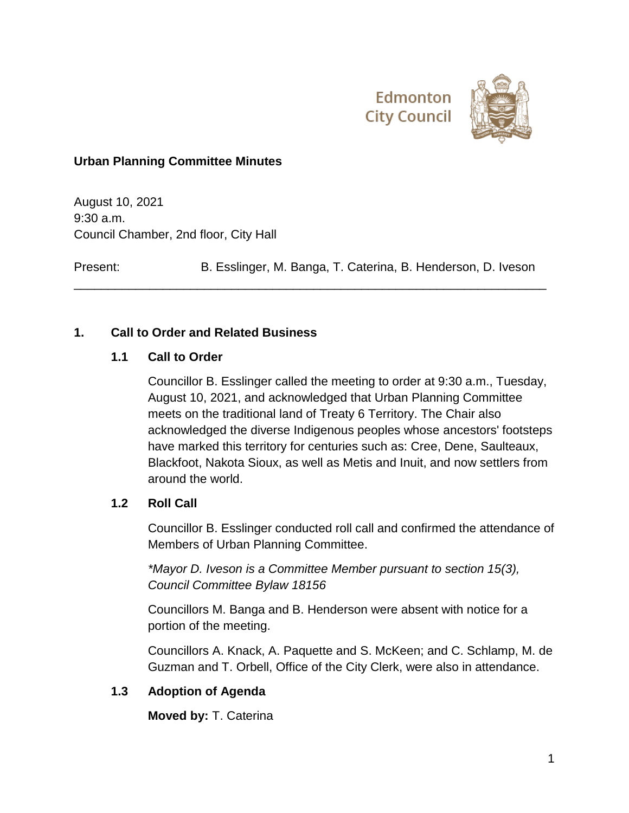

# **Urban Planning Committee Minutes**

August 10, 2021 9:30 a.m. Council Chamber, 2nd floor, City Hall

Present: B. Esslinger, M. Banga, T. Caterina, B. Henderson, D. Iveson

\_\_\_\_\_\_\_\_\_\_\_\_\_\_\_\_\_\_\_\_\_\_\_\_\_\_\_\_\_\_\_\_\_\_\_\_\_\_\_\_\_\_\_\_\_\_\_\_\_\_\_\_\_\_\_\_\_\_\_\_\_\_\_\_\_\_\_\_\_

# **1. Call to Order and Related Business**

# **1.1 Call to Order**

Councillor B. Esslinger called the meeting to order at 9:30 a.m., Tuesday, August 10, 2021, and acknowledged that Urban Planning Committee meets on the traditional land of Treaty 6 Territory. The Chair also acknowledged the diverse Indigenous peoples whose ancestors' footsteps have marked this territory for centuries such as: Cree, Dene, Saulteaux, Blackfoot, Nakota Sioux, as well as Metis and Inuit, and now settlers from around the world.

## **1.2 Roll Call**

Councillor B. Esslinger conducted roll call and confirmed the attendance of Members of Urban Planning Committee.

*\*Mayor D. Iveson is a Committee Member pursuant to section 15(3), Council Committee Bylaw 18156*

Councillors M. Banga and B. Henderson were absent with notice for a portion of the meeting.

Councillors A. Knack, A. Paquette and S. McKeen; and C. Schlamp, M. de Guzman and T. Orbell, Office of the City Clerk, were also in attendance.

# **1.3 Adoption of Agenda**

**Moved by:** T. Caterina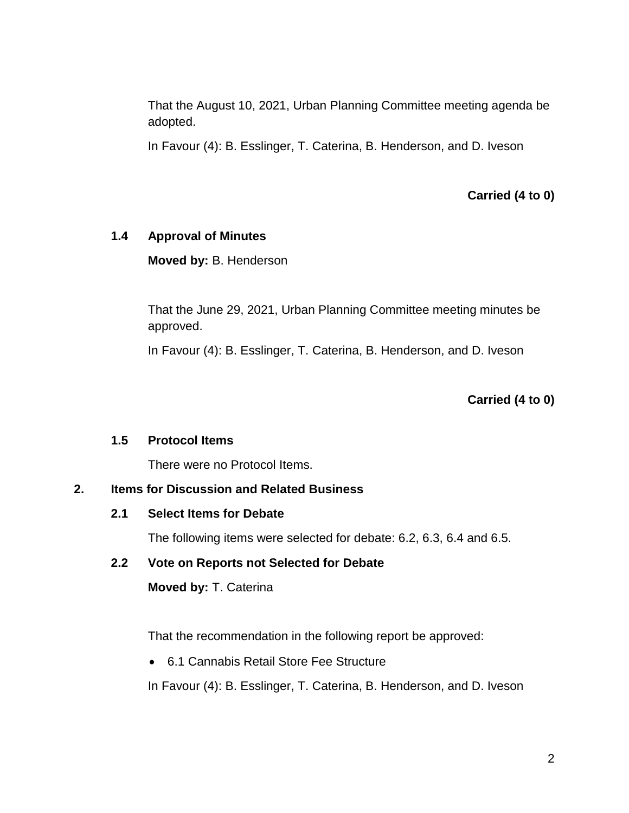That the August 10, 2021, Urban Planning Committee meeting agenda be adopted.

In Favour (4): B. Esslinger, T. Caterina, B. Henderson, and D. Iveson

**Carried (4 to 0)**

## **1.4 Approval of Minutes**

**Moved by:** B. Henderson

That the June 29, 2021, Urban Planning Committee meeting minutes be approved.

In Favour (4): B. Esslinger, T. Caterina, B. Henderson, and D. Iveson

## **Carried (4 to 0)**

## **1.5 Protocol Items**

There were no Protocol Items.

## **2. Items for Discussion and Related Business**

## **2.1 Select Items for Debate**

The following items were selected for debate: 6.2, 6.3, 6.4 and 6.5.

# **2.2 Vote on Reports not Selected for Debate**

**Moved by:** T. Caterina

That the recommendation in the following report be approved:

6.1 Cannabis Retail Store Fee Structure

In Favour (4): B. Esslinger, T. Caterina, B. Henderson, and D. Iveson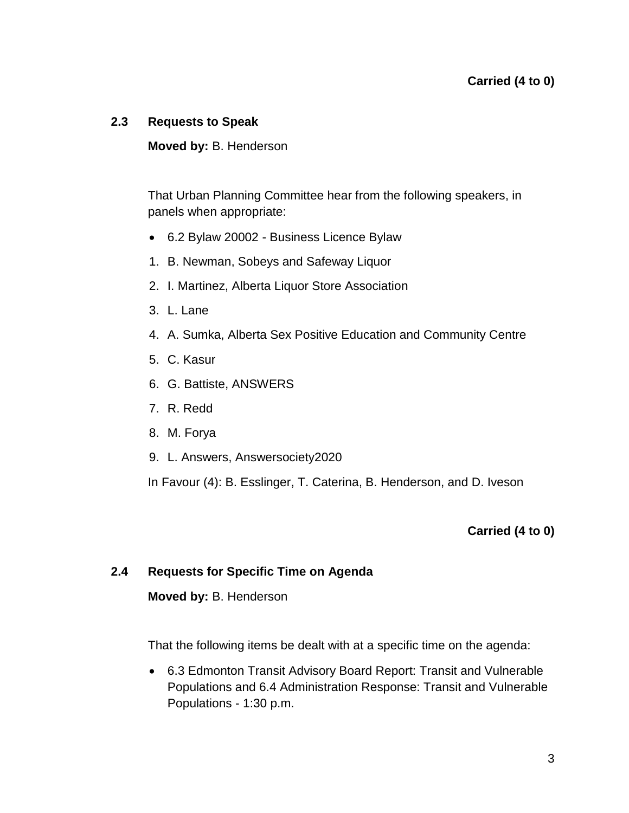## **2.3 Requests to Speak**

#### **Moved by:** B. Henderson

That Urban Planning Committee hear from the following speakers, in panels when appropriate:

- 6.2 Bylaw 20002 Business Licence Bylaw
- 1. B. Newman, Sobeys and Safeway Liquor
- 2. I. Martinez, Alberta Liquor Store Association
- 3. L. Lane
- 4. A. Sumka, Alberta Sex Positive Education and Community Centre
- 5. C. Kasur
- 6. G. Battiste, ANSWERS
- 7. R. Redd
- 8. M. Forya
- 9. L. Answers, Answersociety2020

In Favour (4): B. Esslinger, T. Caterina, B. Henderson, and D. Iveson

## **Carried (4 to 0)**

## **2.4 Requests for Specific Time on Agenda**

#### **Moved by:** B. Henderson

That the following items be dealt with at a specific time on the agenda:

 6.3 Edmonton Transit Advisory Board Report: Transit and Vulnerable Populations and 6.4 Administration Response: Transit and Vulnerable Populations - 1:30 p.m.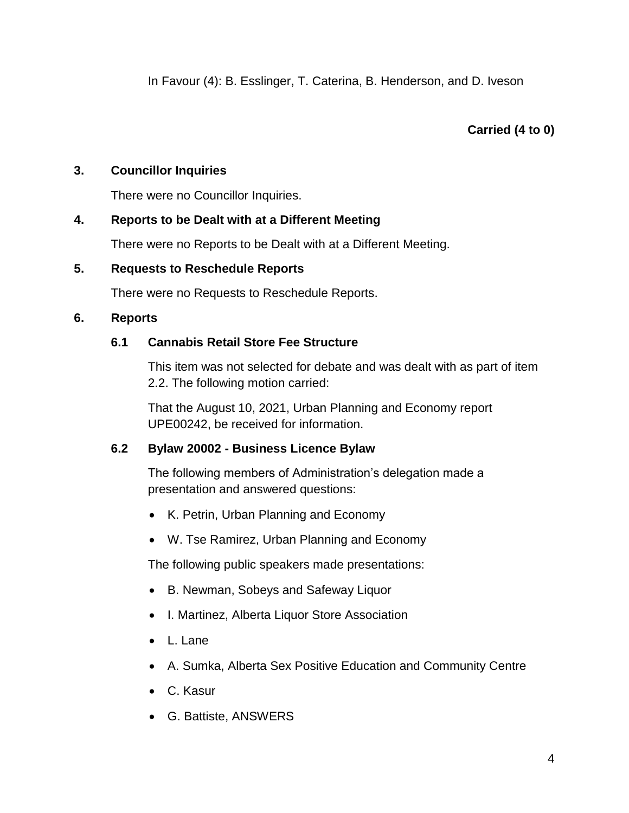# **Carried (4 to 0)**

# **3. Councillor Inquiries**

There were no Councillor Inquiries.

# **4. Reports to be Dealt with at a Different Meeting**

There were no Reports to be Dealt with at a Different Meeting.

## **5. Requests to Reschedule Reports**

There were no Requests to Reschedule Reports.

# **6. Reports**

# **6.1 Cannabis Retail Store Fee Structure**

This item was not selected for debate and was dealt with as part of item 2.2. The following motion carried:

That the August 10, 2021, Urban Planning and Economy report UPE00242, be received for information.

## **6.2 Bylaw 20002 - Business Licence Bylaw**

The following members of Administration's delegation made a presentation and answered questions:

- K. Petrin, Urban Planning and Economy
- W. Tse Ramirez, Urban Planning and Economy

The following public speakers made presentations:

- B. Newman, Sobeys and Safeway Liquor
- I. Martinez, Alberta Liquor Store Association
- $\bullet$  L. Lane
- A. Sumka, Alberta Sex Positive Education and Community Centre
- C. Kasur
- G. Battiste, ANSWERS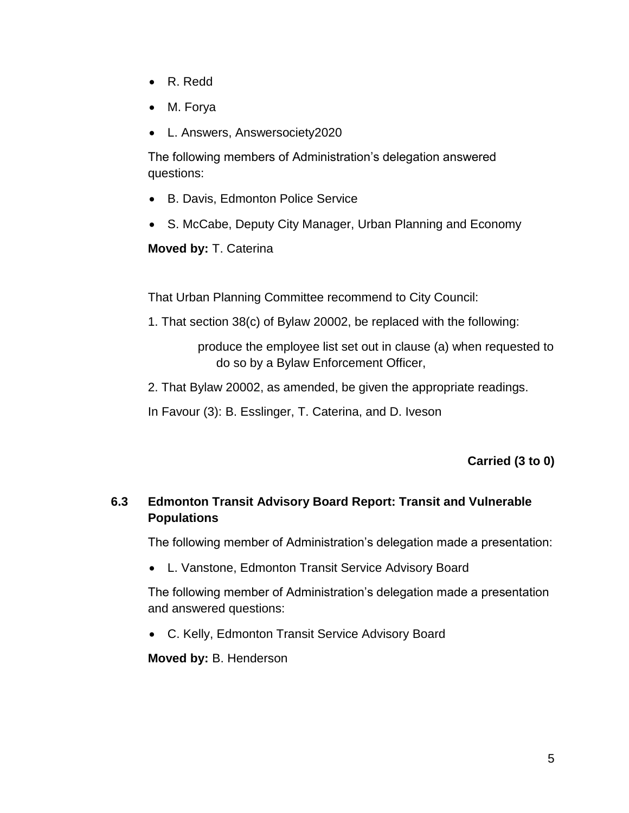- R. Redd
- M. Forya
- L. Answers, Answersociety2020

The following members of Administration's delegation answered questions:

- B. Davis, Edmonton Police Service
- S. McCabe, Deputy City Manager, Urban Planning and Economy

**Moved by:** T. Caterina

That Urban Planning Committee recommend to City Council:

1. That section 38(c) of Bylaw 20002, be replaced with the following:

produce the employee list set out in clause (a) when requested to do so by a Bylaw Enforcement Officer,

2. That Bylaw 20002, as amended, be given the appropriate readings.

In Favour (3): B. Esslinger, T. Caterina, and D. Iveson

**Carried (3 to 0)**

# **6.3 Edmonton Transit Advisory Board Report: Transit and Vulnerable Populations**

The following member of Administration's delegation made a presentation:

L. Vanstone, Edmonton Transit Service Advisory Board

The following member of Administration's delegation made a presentation and answered questions:

C. Kelly, Edmonton Transit Service Advisory Board

**Moved by:** B. Henderson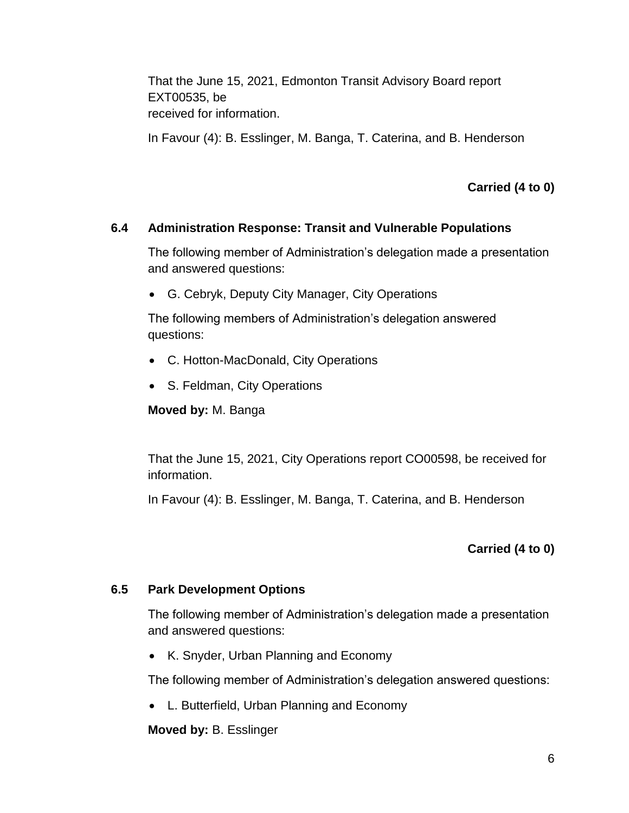That the June 15, 2021, Edmonton Transit Advisory Board report EXT00535, be received for information.

In Favour (4): B. Esslinger, M. Banga, T. Caterina, and B. Henderson

**Carried (4 to 0)**

# **6.4 Administration Response: Transit and Vulnerable Populations**

The following member of Administration's delegation made a presentation and answered questions:

G. Cebryk, Deputy City Manager, City Operations

The following members of Administration's delegation answered questions:

- C. Hotton-MacDonald, City Operations
- S. Feldman, City Operations

**Moved by:** M. Banga

That the June 15, 2021, City Operations report CO00598, be received for information.

In Favour (4): B. Esslinger, M. Banga, T. Caterina, and B. Henderson

# **Carried (4 to 0)**

## **6.5 Park Development Options**

The following member of Administration's delegation made a presentation and answered questions:

• K. Snyder, Urban Planning and Economy

The following member of Administration's delegation answered questions:

L. Butterfield, Urban Planning and Economy

**Moved by:** B. Esslinger